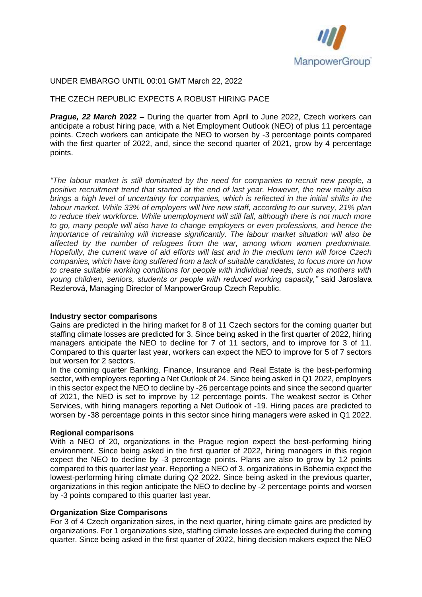

## UNDER EMBARGO UNTIL 00:01 GMT March 22, 2022

## THE CZECH REPUBLIC EXPECTS A ROBUST HIRING PACE

*Prague, 22 March* **2022 –** During the quarter from April to June 2022, Czech workers can anticipate a robust hiring pace, with a Net Employment Outlook (NEO) of plus 11 percentage points. Czech workers can anticipate the NEO to worsen by -3 percentage points compared with the first quarter of 2022, and, since the second quarter of 2021, grow by 4 percentage points.

*"The labour market is still dominated by the need for companies to recruit new people, a positive recruitment trend that started at the end of last year. However, the new reality also brings a high level of uncertainty for companies, which is reflected in the initial shifts in the labour market. While 33% of employers will hire new staff, according to our survey, 21% plan to reduce their workforce. While unemployment will still fall, although there is not much more to go, many people will also have to change employers or even professions, and hence the importance of retraining will increase significantly. The labour market situation will also be affected by the number of refugees from the war, among whom women predominate. Hopefully, the current wave of aid efforts will last and in the medium term will force Czech companies, which have long suffered from a lack of suitable candidates, to focus more on how to create suitable working conditions for people with individual needs, such as mothers with young children, seniors, students or people with reduced working capacity,"* said Jaroslava Rezlerová, Managing Director of ManpowerGroup Czech Republic.

#### **Industry sector comparisons**

Gains are predicted in the hiring market for 8 of 11 Czech sectors for the coming quarter but staffing climate losses are predicted for 3. Since being asked in the first quarter of 2022, hiring managers anticipate the NEO to decline for 7 of 11 sectors, and to improve for 3 of 11. Compared to this quarter last year, workers can expect the NEO to improve for 5 of 7 sectors but worsen for 2 sectors.

In the coming quarter Banking, Finance, Insurance and Real Estate is the best-performing sector, with employers reporting a Net Outlook of 24. Since being asked in Q1 2022, employers in this sector expect the NEO to decline by -26 percentage points and since the second quarter of 2021, the NEO is set to improve by 12 percentage points. The weakest sector is Other Services, with hiring managers reporting a Net Outlook of -19. Hiring paces are predicted to worsen by -38 percentage points in this sector since hiring managers were asked in Q1 2022.

#### **Regional comparisons**

With a NEO of 20, organizations in the Prague region expect the best-performing hiring environment. Since being asked in the first quarter of 2022, hiring managers in this region expect the NEO to decline by -3 percentage points. Plans are also to grow by 12 points compared to this quarter last year. Reporting a NEO of 3, organizations in Bohemia expect the lowest-performing hiring climate during Q2 2022. Since being asked in the previous quarter, organizations in this region anticipate the NEO to decline by -2 percentage points and worsen by -3 points compared to this quarter last year.

### **Organization Size Comparisons**

For 3 of 4 Czech organization sizes, in the next quarter, hiring climate gains are predicted by organizations. For 1 organizations size, staffing climate losses are expected during the coming quarter. Since being asked in the first quarter of 2022, hiring decision makers expect the NEO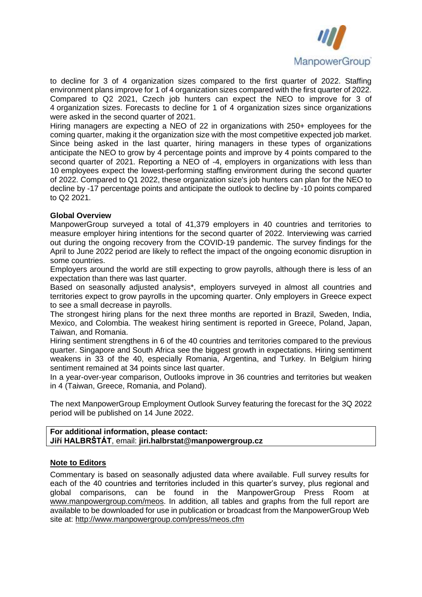

to decline for 3 of 4 organization sizes compared to the first quarter of 2022. Staffing environment plans improve for 1 of 4 organization sizes compared with the first quarter of 2022. Compared to Q2 2021, Czech job hunters can expect the NEO to improve for 3 of 4 organization sizes. Forecasts to decline for 1 of 4 organization sizes since organizations were asked in the second quarter of 2021.

Hiring managers are expecting a NEO of 22 in organizations with 250+ employees for the coming quarter, making it the organization size with the most competitive expected job market. Since being asked in the last quarter, hiring managers in these types of organizations anticipate the NEO to grow by 4 percentage points and improve by 4 points compared to the second quarter of 2021. Reporting a NEO of -4, employers in organizations with less than 10 employees expect the lowest-performing staffing environment during the second quarter of 2022. Compared to Q1 2022, these organization size's job hunters can plan for the NEO to decline by -17 percentage points and anticipate the outlook to decline by -10 points compared to Q2 2021.

## **Global Overview**

ManpowerGroup surveyed a total of 41,379 employers in 40 countries and territories to measure employer hiring intentions for the second quarter of 2022. Interviewing was carried out during the ongoing recovery from the COVID-19 pandemic. The survey findings for the April to June 2022 period are likely to reflect the impact of the ongoing economic disruption in some countries.

Employers around the world are still expecting to grow payrolls, although there is less of an expectation than there was last quarter.

Based on seasonally adjusted analysis\*, employers surveyed in almost all countries and territories expect to grow payrolls in the upcoming quarter. Only employers in Greece expect to see a small decrease in payrolls.

The strongest hiring plans for the next three months are reported in Brazil, Sweden, India, Mexico, and Colombia. The weakest hiring sentiment is reported in Greece, Poland, Japan, Taiwan, and Romania.

Hiring sentiment strengthens in 6 of the 40 countries and territories compared to the previous quarter. Singapore and South Africa see the biggest growth in expectations. Hiring sentiment weakens in 33 of the 40, especially Romania, Argentina, and Turkey. In Belgium hiring sentiment remained at 34 points since last quarter.

In a year-over-year comparison, Outlooks improve in 36 countries and territories but weaken in 4 (Taiwan, Greece, Romania, and Poland).

The next ManpowerGroup Employment Outlook Survey featuring the forecast for the 3Q 2022 period will be published on 14 June 2022.

#### **For additional information, please contact: Jiří HALBRŠTÁT**, email: **jiri.halbrstat@manpowergroup.cz**

#### **Note to Editors**

Commentary is based on seasonally adjusted data where available. Full survey results for each of the 40 countries and territories included in this quarter's survey, plus regional and global comparisons, can be found in the ManpowerGroup Press Room at [www.manpowergroup.com/meos.](http://www.manpowergroup.com/meos) In addition, all tables and graphs from the full report are available to be downloaded for use in publication or broadcast from the ManpowerGroup Web site at:<http://www.manpowergroup.com/press/meos.cfm>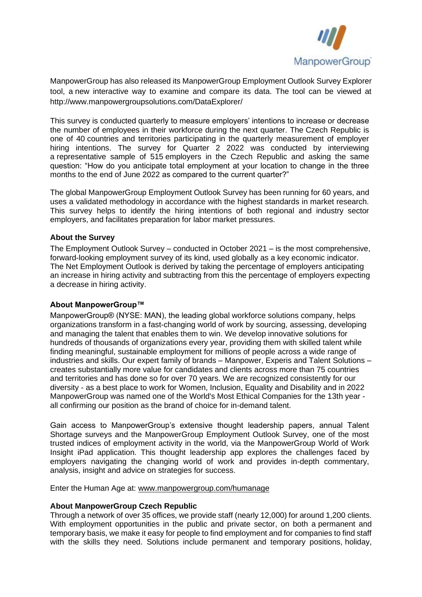

ManpowerGroup has also released its ManpowerGroup Employment Outlook Survey Explorer tool, a new interactive way to examine and compare its data. The tool can be viewed at http://www.manpowergroupsolutions.com/DataExplorer/

This survey is conducted quarterly to measure employers' intentions to increase or decrease the number of employees in their workforce during the next quarter. The Czech Republic is one of 40 countries and territories participating in the quarterly measurement of employer hiring intentions. The survey for Quarter 2 2022 was conducted by interviewing a representative sample of 515 employers in the Czech Republic and asking the same question: "How do you anticipate total employment at your location to change in the three months to the end of June 2022 as compared to the current quarter?"

The global ManpowerGroup Employment Outlook Survey has been running for 60 years, and uses a validated methodology in accordance with the highest standards in market research. This survey helps to identify the hiring intentions of both regional and industry sector employers, and facilitates preparation for labor market pressures.

# **About the Survey**

The Employment Outlook Survey – conducted in October 2021 – is the most comprehensive, forward-looking employment survey of its kind, used globally as a key economic indicator. The Net Employment Outlook is derived by taking the percentage of employers anticipating an increase in hiring activity and subtracting from this the percentage of employers expecting a decrease in hiring activity.

# **About ManpowerGroup™**

ManpowerGroup® (NYSE: MAN), the leading global workforce solutions company, helps organizations transform in a fast-changing world of work by sourcing, assessing, developing and managing the talent that enables them to win. We develop innovative solutions for hundreds of thousands of organizations every year, providing them with skilled talent while finding meaningful, sustainable employment for millions of people across a wide range of industries and skills. Our expert family of brands – Manpower, Experis and Talent Solutions – creates substantially more value for candidates and clients across more than 75 countries and territories and has done so for over 70 years. We are recognized consistently for our diversity - as a best place to work for Women, Inclusion, Equality and Disability and in 2022 ManpowerGroup was named one of the World's Most Ethical Companies for the 13th year all confirming our position as the brand of choice for in-demand talent.

Gain access to ManpowerGroup's extensive thought leadership papers, annual Talent Shortage surveys and the ManpowerGroup Employment Outlook Survey, one of the most trusted indices of employment activity in the world, via the ManpowerGroup World of Work Insight iPad application. This thought leadership app explores the challenges faced by employers navigating the changing world of work and provides in-depth commentary, analysis, insight and advice on strategies for success.

Enter the Human Age at: [www.manpowergroup.com/humanage](http://www.manpowergroup.com/humanage)

#### **About ManpowerGroup Czech Republic**

Through a network of over 35 offices, we provide staff (nearly 12,000) for around 1,200 clients. With employment opportunities in the public and private sector, on both a permanent and temporary basis, we make it easy for people to find employment and for companies to find staff with the skills they need. Solutions include permanent and temporary positions, holiday,